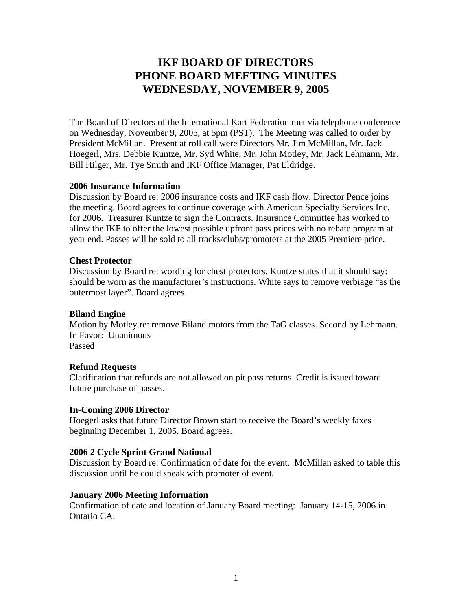# **IKF BOARD OF DIRECTORS PHONE BOARD MEETING MINUTES WEDNESDAY, NOVEMBER 9, 2005**

The Board of Directors of the International Kart Federation met via telephone conference on Wednesday, November 9, 2005, at 5pm (PST). The Meeting was called to order by President McMillan. Present at roll call were Directors Mr. Jim McMillan, Mr. Jack Hoegerl, Mrs. Debbie Kuntze, Mr. Syd White, Mr. John Motley, Mr. Jack Lehmann, Mr. Bill Hilger, Mr. Tye Smith and IKF Office Manager, Pat Eldridge.

# **2006 Insurance Information**

Discussion by Board re: 2006 insurance costs and IKF cash flow. Director Pence joins the meeting. Board agrees to continue coverage with American Specialty Services Inc. for 2006. Treasurer Kuntze to sign the Contracts. Insurance Committee has worked to allow the IKF to offer the lowest possible upfront pass prices with no rebate program at year end. Passes will be sold to all tracks/clubs/promoters at the 2005 Premiere price.

#### **Chest Protector**

Discussion by Board re: wording for chest protectors. Kuntze states that it should say: should be worn as the manufacturer's instructions. White says to remove verbiage "as the outermost layer". Board agrees.

# **Biland Engine**

Motion by Motley re: remove Biland motors from the TaG classes. Second by Lehmann. In Favor: Unanimous Passed

#### **Refund Requests**

Clarification that refunds are not allowed on pit pass returns. Credit is issued toward future purchase of passes.

#### **In-Coming 2006 Director**

Hoegerl asks that future Director Brown start to receive the Board's weekly faxes beginning December 1, 2005. Board agrees.

# **2006 2 Cycle Sprint Grand National**

Discussion by Board re: Confirmation of date for the event. McMillan asked to table this discussion until he could speak with promoter of event.

# **January 2006 Meeting Information**

Confirmation of date and location of January Board meeting: January 14-15, 2006 in Ontario CA.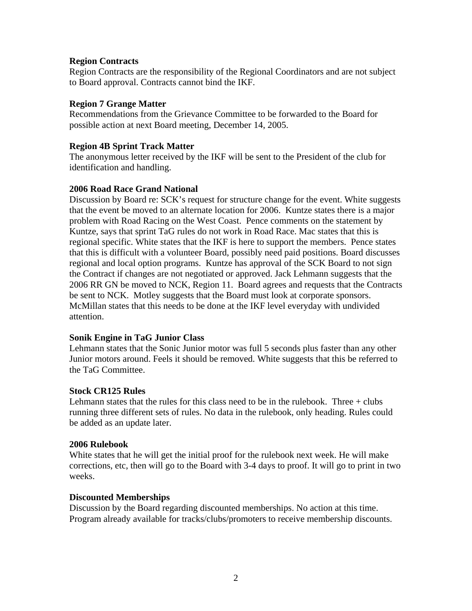# **Region Contracts**

Region Contracts are the responsibility of the Regional Coordinators and are not subject to Board approval. Contracts cannot bind the IKF.

# **Region 7 Grange Matter**

Recommendations from the Grievance Committee to be forwarded to the Board for possible action at next Board meeting, December 14, 2005.

# **Region 4B Sprint Track Matter**

The anonymous letter received by the IKF will be sent to the President of the club for identification and handling.

# **2006 Road Race Grand National**

Discussion by Board re: SCK's request for structure change for the event. White suggests that the event be moved to an alternate location for 2006. Kuntze states there is a major problem with Road Racing on the West Coast. Pence comments on the statement by Kuntze, says that sprint TaG rules do not work in Road Race. Mac states that this is regional specific. White states that the IKF is here to support the members. Pence states that this is difficult with a volunteer Board, possibly need paid positions. Board discusses regional and local option programs. Kuntze has approval of the SCK Board to not sign the Contract if changes are not negotiated or approved. Jack Lehmann suggests that the 2006 RR GN be moved to NCK, Region 11. Board agrees and requests that the Contracts be sent to NCK. Motley suggests that the Board must look at corporate sponsors. McMillan states that this needs to be done at the IKF level everyday with undivided attention.

# **Sonik Engine in TaG Junior Class**

Lehmann states that the Sonic Junior motor was full 5 seconds plus faster than any other Junior motors around. Feels it should be removed. White suggests that this be referred to the TaG Committee.

# **Stock CR125 Rules**

Lehmann states that the rules for this class need to be in the rulebook. Three  $+$  clubs running three different sets of rules. No data in the rulebook, only heading. Rules could be added as an update later.

# **2006 Rulebook**

White states that he will get the initial proof for the rulebook next week. He will make corrections, etc, then will go to the Board with 3-4 days to proof. It will go to print in two weeks.

# **Discounted Memberships**

Discussion by the Board regarding discounted memberships. No action at this time. Program already available for tracks/clubs/promoters to receive membership discounts.